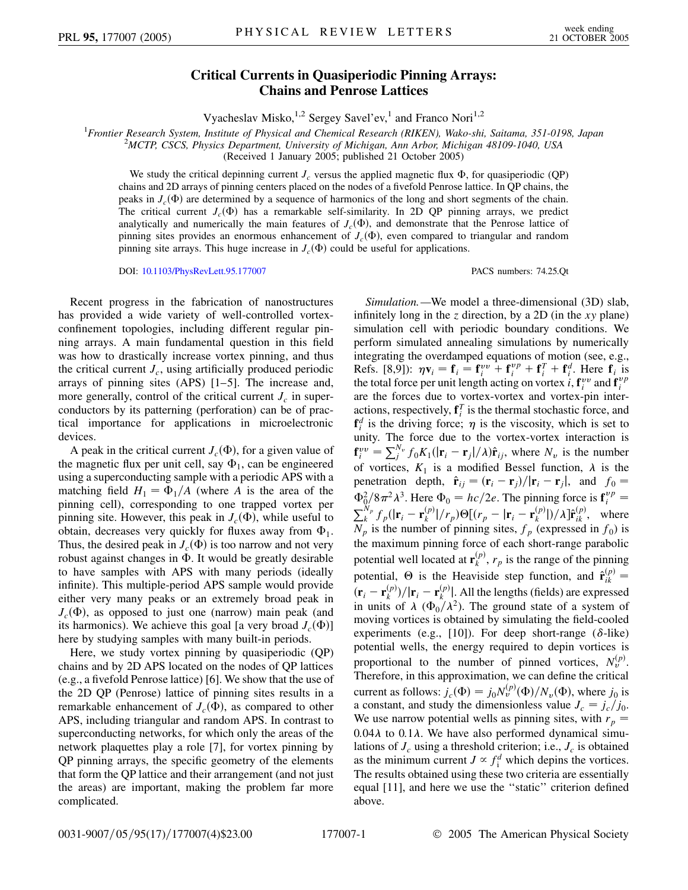## **Critical Currents in Quasiperiodic Pinning Arrays: Chains and Penrose Lattices**

Vyacheslav Misko,<sup>1,2</sup> Sergey Savel'ev,<sup>1</sup> and Franco Nori<sup>1,2</sup>

<sup>1</sup> Frontier Research System, Institute of Physical and Chemical Research (RIKEN), Wako-shi, Saitama, 351-0198, Japan<br><sup>2</sup>MCTP CSCS, Physics Dapartment, University of Michigan, Ann Arbor, Michigan A8100, 1040, USA

*MCTP, CSCS, Physics Department, University of Michigan, Ann Arbor, Michigan 48109-1040, USA*

(Received 1 January 2005; published 21 October 2005)

We study the critical depinning current  $J_c$  versus the applied magnetic flux  $\Phi$ , for quasiperiodic (QP) chains and 2D arrays of pinning centers placed on the nodes of a fivefold Penrose lattice. In QP chains, the peaks in  $J_c(\Phi)$  are determined by a sequence of harmonics of the long and short segments of the chain. The critical current  $J_c(\Phi)$  has a remarkable self-similarity. In 2D QP pinning arrays, we predict analytically and numerically the main features of  $J_c(\Phi)$ , and demonstrate that the Penrose lattice of pinning sites provides an enormous enhancement of  $J_c(\Phi)$ , even compared to triangular and random pinning site arrays. This huge increase in  $J_c(\Phi)$  could be useful for applications.

DOI: [10.1103/PhysRevLett.95.177007](http://dx.doi.org/10.1103/PhysRevLett.95.177007) PACS numbers: 74.25.Qt

Recent progress in the fabrication of nanostructures has provided a wide variety of well-controlled vortexconfinement topologies, including different regular pinning arrays. A main fundamental question in this field was how to drastically increase vortex pinning, and thus the critical current  $J_c$ , using artificially produced periodic arrays of pinning sites (APS) [1–5]. The increase and, more generally, control of the critical current  $J_c$  in superconductors by its patterning (perforation) can be of practical importance for applications in microelectronic devices.

A peak in the critical current  $J_c(\Phi)$ , for a given value of the magnetic flux per unit cell, say  $\Phi_1$ , can be engineered using a superconducting sample with a periodic APS with a matching field  $H_1 = \Phi_1/A$  (where *A* is the area of the pinning cell), corresponding to one trapped vortex per pinning site. However, this peak in  $J_c(\Phi)$ , while useful to obtain, decreases very quickly for fluxes away from  $\Phi_1$ . Thus, the desired peak in  $J_c(\Phi)$  is too narrow and not very robust against changes in  $\Phi$ . It would be greatly desirable to have samples with APS with many periods (ideally infinite). This multiple-period APS sample would provide either very many peaks or an extremely broad peak in  $J_c(\Phi)$ , as opposed to just one (narrow) main peak (and its harmonics). We achieve this goal [a very broad  $J_c(\Phi)$ ] here by studying samples with many built-in periods.

Here, we study vortex pinning by quasiperiodic (QP) chains and by 2D APS located on the nodes of QP lattices (e.g., a fivefold Penrose lattice) [6]. We show that the use of the 2D QP (Penrose) lattice of pinning sites results in a remarkable enhancement of  $J_c(\Phi)$ , as compared to other APS, including triangular and random APS. In contrast to superconducting networks, for which only the areas of the network plaquettes play a role [7], for vortex pinning by QP pinning arrays, the specific geometry of the elements that form the QP lattice and their arrangement (and not just the areas) are important, making the problem far more complicated.

*Simulation.—*We model a three-dimensional (3D) slab, infinitely long in the *z* direction, by a 2D (in the *xy* plane) simulation cell with periodic boundary conditions. We perform simulated annealing simulations by numerically integrating the overdamped equations of motion (see, e.g., Refs. [8,9]):  $\eta \mathbf{v}_i = \mathbf{f}_i = \mathbf{f}_i^{\nu} + \mathbf{f}_i^{\nu} + \mathbf{f}_i^{\tau} + \mathbf{f}_i^{\tau}$ . Here  $\mathbf{f}_i$  is the total force per unit length acting on vortex *i*,  $\mathbf{f}^{vv}_{i}$  and  $\mathbf{f}^{vv}_{i}$ are the forces due to vortex-vortex and vortex-pin interactions, respectively,  $f_i^T$  is the thermal stochastic force, and  $\mathbf{f}^d$  is the driving force;  $\eta$  is the viscosity, which is set to unity. The force due to the vortex-vortex interaction is  $f_i^{vv} = \sum_j^{N_v} f_0 K_1(|\mathbf{r}_i - \mathbf{r}_j|/\lambda) \hat{\mathbf{r}}_{ij}$ , where  $N_v$  is the number of vortices,  $K_1$  is a modified Bessel function,  $\lambda$  is the penetration depth,  $\hat{\mathbf{r}}_{ij} = (\mathbf{r}_i - \mathbf{r}_j)/|\mathbf{r}_i - \mathbf{r}_j|$ , and  $f_0 =$  $\Phi_0^2/8\pi^2\lambda^3$ . Here  $\Phi_0 = hc/2e$ . The pinning force is  $\mathbf{f}_i^{vp} = \sum_{k}^{N_p} f_p(|\mathbf{r}_i - \mathbf{r}_k^{(p)}|/r_p) \Theta[(r_p - |\mathbf{r}_i - \mathbf{r}_k^{(p)}|)/\lambda] \hat{\mathbf{r}}_{ik}^{(p)},$  where  $N_p$  is the number of pinning sites,  $f_p$  (expressed in  $f_0$ ) is the maximum pinning force of each short-range parabolic potential well located at  $\mathbf{r}_{k}^{(p)}$ ,  $r_{p}$  is the range of the pinning potential,  $\Theta$  is the Heaviside step function, and  $\hat{\mathbf{r}}^{(p)}_{ik}$  $(\mathbf{r}_i - \mathbf{r}_k^{(p)})/|\mathbf{r}_i - \mathbf{r}_k^{(p)}|$ . All the lengths (fields) are expressed in units of  $\lambda$  ( $\Phi_0/\lambda^2$ ). The ground state of a system of moving vortices is obtained by simulating the field-cooled experiments (e.g., [10]). For deep short-range ( $\delta$ -like) potential wells, the energy required to depin vortices is proportional to the number of pinned vortices,  $N_v^{(p)}$ . Therefore, in this approximation, we can define the critical current as follows:  $j_c(\Phi) = j_0 N_v^{(p)}(\Phi) / N_v(\Phi)$ , where  $j_0$  is a constant, and study the dimensionless value  $J_c = j_c/j_0$ . We use narrow potential wells as pinning sites, with  $r_p =$ 0.04λ to 0.1λ. We have also performed dynamical simulations of  $J_c$  using a threshold criterion; i.e.,  $J_c$  is obtained as the minimum current  $J \propto f_i^d$  which depins the vortices. The results obtained using these two criteria are essentially equal [11], and here we use the ''static'' criterion defined above.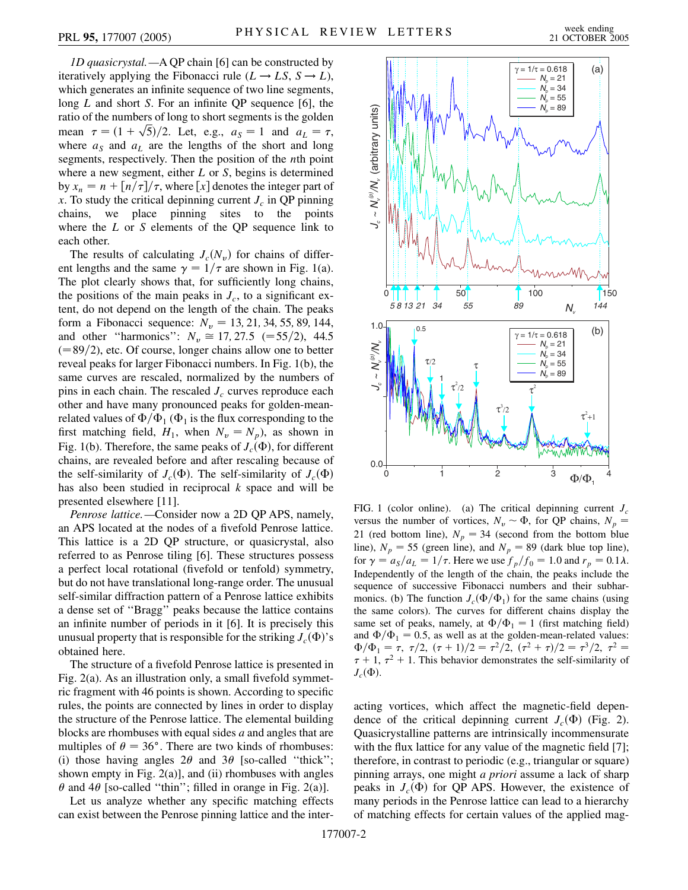*1D quasicrystal.—*A QP chain [6] can be constructed by iteratively applying the Fibonacci rule  $(L \rightarrow LS, S \rightarrow L)$ , which generates an infinite sequence of two line segments, long *L* and short *S*. For an infinite QP sequence [6], the ratio of the numbers of long to short segments is the golden ratio of the numbers of long to short segments is the golden<br>mean  $\tau = (1 + \sqrt{5})/2$ . Let, e.g.,  $a_S = 1$  and  $a_L = \tau$ , where  $a_S$  and  $a_L$  are the lengths of the short and long segments, respectively. Then the position of the *n*th point where a new segment, either *L* or *S*, begins is determined by  $x_n = n + \frac{n}{\tau} / \tau$ , where [x] denotes the integer part of *x*. To study the critical depinning current  $J_c$  in QP pinning chains, we place pinning sites to the points where the *L* or *S* elements of the QP sequence link to each other.

The results of calculating  $J_c(N_v)$  for chains of different lengths and the same  $\gamma = 1/\tau$  are shown in Fig. 1(a). The plot clearly shows that, for sufficiently long chains, the positions of the main peaks in  $J_c$ , to a significant extent, do not depend on the length of the chain. The peaks form a Fibonacci sequence:  $N_v = 13, 21, 34, 55, 89, 144,$ and other "harmonics":  $N_v \approx 17,27.5 \approx 55/2$ , 44.5  $(89/2)$ , etc. Of course, longer chains allow one to better reveal peaks for larger Fibonacci numbers. In Fig. 1(b), the same curves are rescaled, normalized by the numbers of pins in each chain. The rescaled  $J_c$  curves reproduce each other and have many pronounced peaks for golden-meanrelated values of  $\Phi/\Phi_1$  ( $\Phi_1$  is the flux corresponding to the first matching field,  $H_1$ , when  $N_v = N_p$ ), as shown in Fig. 1(b). Therefore, the same peaks of  $J_c(\Phi)$ , for different chains, are revealed before and after rescaling because of the self-similarity of  $J_c(\Phi)$ . The self-similarity of  $J_c(\Phi)$ has also been studied in reciprocal *k* space and will be presented elsewhere [11].

*Penrose lattice.—*Consider now a 2D QP APS, namely, an APS located at the nodes of a fivefold Penrose lattice. This lattice is a 2D QP structure, or quasicrystal, also referred to as Penrose tiling [6]. These structures possess a perfect local rotational (fivefold or tenfold) symmetry, but do not have translational long-range order. The unusual self-similar diffraction pattern of a Penrose lattice exhibits a dense set of ''Bragg'' peaks because the lattice contains an infinite number of periods in it [6]. It is precisely this unusual property that is responsible for the striking  $J_c(\Phi)$ 's obtained here.

The structure of a fivefold Penrose lattice is presented in Fig. 2(a). As an illustration only, a small fivefold symmetric fragment with 46 points is shown. According to specific rules, the points are connected by lines in order to display the structure of the Penrose lattice. The elemental building blocks are rhombuses with equal sides *a* and angles that are multiples of  $\theta = 36^\circ$ . There are two kinds of rhombuses: (i) those having angles  $2\theta$  and  $3\theta$  [so-called "thick"; shown empty in Fig.  $2(a)$ ], and (ii) rhombuses with angles  $\theta$  and 4 $\theta$  [so-called "thin"; filled in orange in Fig. 2(a)].

Let us analyze whether any specific matching effects can exist between the Penrose pinning lattice and the inter-



FIG. 1 (color online). (a) The critical depinning current  $J_c$ versus the number of vortices,  $N_v \sim \Phi$ , for QP chains,  $N_p =$ 21 (red bottom line),  $N_p = 34$  (second from the bottom blue line),  $N_p = 55$  (green line), and  $N_p = 89$  (dark blue top line), for  $\gamma = a_S/a_L = 1/\tau$ . Here we use  $f_p/f_0 = 1.0$  and  $r_p = 0.1\lambda$ . Independently of the length of the chain, the peaks include the sequence of successive Fibonacci numbers and their subharmonics. (b) The function  $J_c(\Phi/\Phi_1)$  for the same chains (using the same colors). The curves for different chains display the same set of peaks, namely, at  $\Phi/\Phi_1 = 1$  (first matching field) and  $\Phi/\Phi_1 = 0.5$ , as well as at the golden-mean-related values:  $\Phi/\Phi_1 = \tau, \tau/2, (\tau + 1)/2 = \tau^2/2, (\tau^2 + \tau)/2 = \tau^3/2, \tau^2 =$  $\tau$  + 1,  $\tau$ <sup>2</sup> + 1. This behavior demonstrates the self-similarity of  $J_c(\Phi)$ .

acting vortices, which affect the magnetic-field dependence of the critical depinning current  $J_c(\Phi)$  (Fig. 2). Quasicrystalline patterns are intrinsically incommensurate with the flux lattice for any value of the magnetic field [7]; therefore, in contrast to periodic (e.g., triangular or square) pinning arrays, one might *a priori* assume a lack of sharp peaks in  $J_c(\Phi)$  for QP APS. However, the existence of many periods in the Penrose lattice can lead to a hierarchy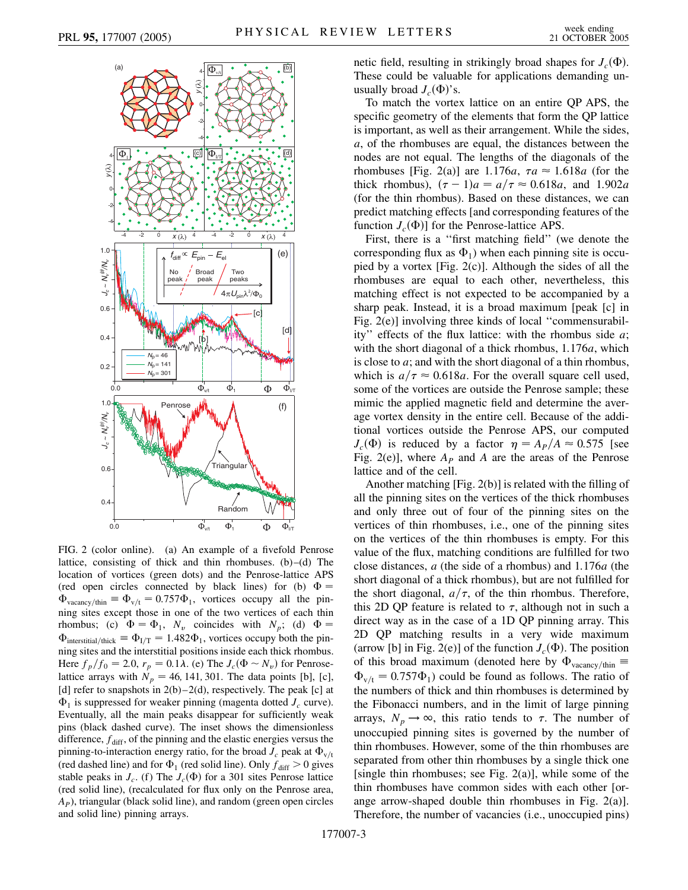

FIG. 2 (color online). (a) An example of a fivefold Penrose lattice, consisting of thick and thin rhombuses. (b)–(d) The location of vortices (green dots) and the Penrose-lattice APS (red open circles connected by black lines) for (b)  $\Phi =$  $\Phi_{\text{vacancy}/\text{thin}} \equiv \Phi_{\text{v/t}} = 0.757\Phi_1$ , vortices occupy all the pinning sites except those in one of the two vertices of each thin rhombus; (c)  $\Phi = \Phi_1$ ,  $N_v$  coincides with  $N_p$ ; (d)  $\Phi =$  $\Phi$ <sub>interstitial/thick</sub>  $\equiv \Phi_{I/T} = 1.482 \Phi_1$ , vortices occupy both the pinning sites and the interstitial positions inside each thick rhombus. Here  $f_p/f_0 = 2.0$ ,  $r_p = 0.1\lambda$ . (e) The  $J_c(\Phi \sim N_v)$  for Penroselattice arrays with  $N_p = 46$ , 141, 301. The data points [b], [c], [d] refer to snapshots in  $2(b)-2(d)$ , respectively. The peak [c] at  $\Phi_1$  is suppressed for weaker pinning (magenta dotted  $J_c$  curve). Eventually, all the main peaks disappear for sufficiently weak pins (black dashed curve). The inset shows the dimensionless difference,  $f_{\text{diff}}$ , of the pinning and the elastic energies versus the pinning-to-interaction energy ratio, for the broad  $J_c$  peak at  $\Phi_{v/t}$ (red dashed line) and for  $\Phi_1$  (red solid line). Only  $f_{\text{diff}} > 0$  gives stable peaks in  $J_c$ . (f) The  $J_c(\Phi)$  for a 301 sites Penrose lattice (red solid line), (recalculated for flux only on the Penrose area, *AP*), triangular (black solid line), and random (green open circles and solid line) pinning arrays.

netic field, resulting in strikingly broad shapes for  $J_c(\Phi)$ . These could be valuable for applications demanding unusually broad  $J_c(\Phi)$ 's.

To match the vortex lattice on an entire QP APS, the specific geometry of the elements that form the QP lattice is important, as well as their arrangement. While the sides, *a*, of the rhombuses are equal, the distances between the nodes are not equal. The lengths of the diagonals of the rhombuses [Fig. 2(a)] are 1.176*a*,  $\tau a \approx 1.618a$  (for the thick rhombus),  $(\tau - 1)a = a/\tau \approx 0.618a$ , and 1.902*a* (for the thin rhombus). Based on these distances, we can predict matching effects [and corresponding features of the function  $J_c(\Phi)$  for the Penrose-lattice APS.

First, there is a ''first matching field'' (we denote the corresponding flux as  $\Phi_1$ ) when each pinning site is occupied by a vortex [Fig. 2(c)]. Although the sides of all the rhombuses are equal to each other, nevertheless, this matching effect is not expected to be accompanied by a sharp peak. Instead, it is a broad maximum [peak [c] in Fig. 2(e)] involving three kinds of local ''commensurability'' effects of the flux lattice: with the rhombus side *a*; with the short diagonal of a thick rhombus, 1*:*176*a*, which is close to *a*; and with the short diagonal of a thin rhombus, which is  $a/\tau \approx 0.618a$ . For the overall square cell used, some of the vortices are outside the Penrose sample; these mimic the applied magnetic field and determine the average vortex density in the entire cell. Because of the additional vortices outside the Penrose APS, our computed  $J_c(\Phi)$  is reduced by a factor  $\eta = A_P/A \approx 0.575$  [see Fig. 2(e)], where  $A<sub>P</sub>$  and  $A$  are the areas of the Penrose lattice and of the cell.

Another matching [Fig. 2(b)] is related with the filling of all the pinning sites on the vertices of the thick rhombuses and only three out of four of the pinning sites on the vertices of thin rhombuses, i.e., one of the pinning sites on the vertices of the thin rhombuses is empty. For this value of the flux, matching conditions are fulfilled for two close distances, *a* (the side of a rhombus) and 1*:*176*a* (the short diagonal of a thick rhombus), but are not fulfilled for the short diagonal,  $a/\tau$ , of the thin rhombus. Therefore, this 2D QP feature is related to  $\tau$ , although not in such a direct way as in the case of a 1D QP pinning array. This 2D QP matching results in a very wide maximum (arrow [b] in Fig. 2(e)] of the function  $J_c(\Phi)$ . The position of this broad maximum (denoted here by  $\Phi_{\text{vacancy}/\text{thin}}$  $\Phi_{v/t} = 0.757\Phi_1$  could be found as follows. The ratio of the numbers of thick and thin rhombuses is determined by the Fibonacci numbers, and in the limit of large pinning arrays,  $N_p \rightarrow \infty$ , this ratio tends to  $\tau$ . The number of unoccupied pinning sites is governed by the number of thin rhombuses. However, some of the thin rhombuses are separated from other thin rhombuses by a single thick one [single thin rhombuses; see Fig.  $2(a)$ ], while some of the thin rhombuses have common sides with each other [orange arrow-shaped double thin rhombuses in Fig. 2(a)]. Therefore, the number of vacancies (i.e., unoccupied pins)